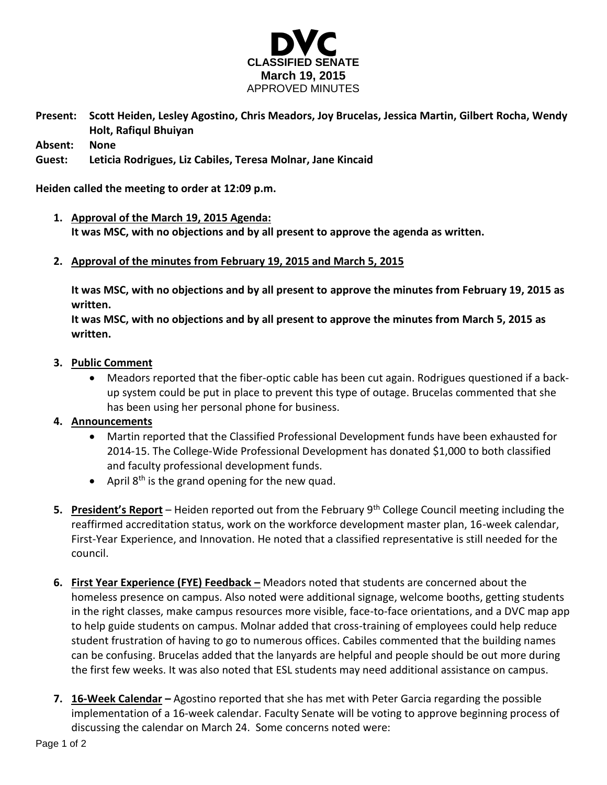

**Present: Scott Heiden, Lesley Agostino, Chris Meadors, Joy Brucelas, Jessica Martin, Gilbert Rocha, Wendy Holt, Rafiqul Bhuiyan**

**Absent: None**

## **Guest: Leticia Rodrigues, Liz Cabiles, Teresa Molnar, Jane Kincaid**

**Heiden called the meeting to order at 12:09 p.m.**

- **1. Approval of the March 19, 2015 Agenda: It was MSC, with no objections and by all present to approve the agenda as written.**
- **2. Approval of the minutes from February 19, 2015 and March 5, 2015**

**It was MSC, with no objections and by all present to approve the minutes from February 19, 2015 as written.**

**It was MSC, with no objections and by all present to approve the minutes from March 5, 2015 as written.**

- **3. Public Comment**
	- Meadors reported that the fiber-optic cable has been cut again. Rodrigues questioned if a backup system could be put in place to prevent this type of outage. Brucelas commented that she has been using her personal phone for business.

## **4. Announcements**

- Martin reported that the Classified Professional Development funds have been exhausted for 2014-15. The College-Wide Professional Development has donated \$1,000 to both classified and faculty professional development funds.
- April  $8<sup>th</sup>$  is the grand opening for the new quad.
- **5. President's Report** Heiden reported out from the February 9th College Council meeting including the reaffirmed accreditation status, work on the workforce development master plan, 16-week calendar, First-Year Experience, and Innovation. He noted that a classified representative is still needed for the council.
- **6. First Year Experience (FYE) Feedback –** Meadors noted that students are concerned about the homeless presence on campus. Also noted were additional signage, welcome booths, getting students in the right classes, make campus resources more visible, face-to-face orientations, and a DVC map app to help guide students on campus. Molnar added that cross-training of employees could help reduce student frustration of having to go to numerous offices. Cabiles commented that the building names can be confusing. Brucelas added that the lanyards are helpful and people should be out more during the first few weeks. It was also noted that ESL students may need additional assistance on campus.
- **7. 16-Week Calendar –** Agostino reported that she has met with Peter Garcia regarding the possible implementation of a 16-week calendar. Faculty Senate will be voting to approve beginning process of discussing the calendar on March 24. Some concerns noted were: